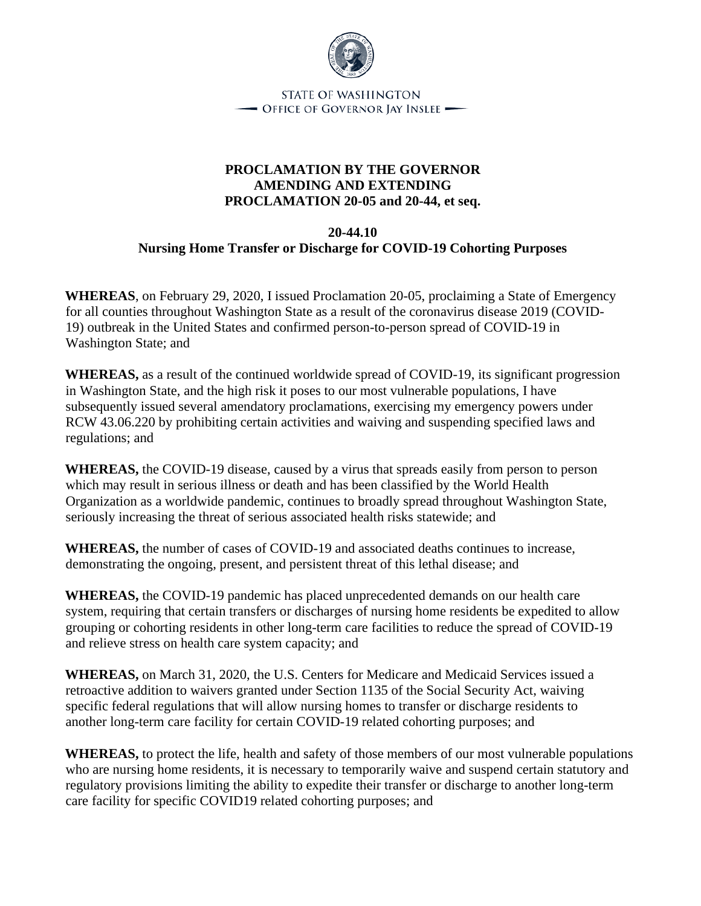

**STATE OF WASHINGTON** - OFFICE OF GOVERNOR JAY INSLEE -

## **PROCLAMATION BY THE GOVERNOR AMENDING AND EXTENDING PROCLAMATION 20-05 and 20-44, et seq.**

## **20-44.10 Nursing Home Transfer or Discharge for COVID-19 Cohorting Purposes**

**WHEREAS**, on February 29, 2020, I issued Proclamation 20-05, proclaiming a State of Emergency for all counties throughout Washington State as a result of the coronavirus disease 2019 (COVID-19) outbreak in the United States and confirmed person-to-person spread of COVID-19 in Washington State; and

**WHEREAS,** as a result of the continued worldwide spread of COVID-19, its significant progression in Washington State, and the high risk it poses to our most vulnerable populations, I have subsequently issued several amendatory proclamations, exercising my emergency powers under RCW 43.06.220 by prohibiting certain activities and waiving and suspending specified laws and regulations; and

**WHEREAS,** the COVID-19 disease, caused by a virus that spreads easily from person to person which may result in serious illness or death and has been classified by the World Health Organization as a worldwide pandemic, continues to broadly spread throughout Washington State, seriously increasing the threat of serious associated health risks statewide; and

**WHEREAS,** the number of cases of COVID-19 and associated deaths continues to increase, demonstrating the ongoing, present, and persistent threat of this lethal disease; and

**WHEREAS,** the COVID-19 pandemic has placed unprecedented demands on our health care system, requiring that certain transfers or discharges of nursing home residents be expedited to allow grouping or cohorting residents in other long-term care facilities to reduce the spread of COVID-19 and relieve stress on health care system capacity; and

**WHEREAS,** on March 31, 2020, the U.S. Centers for Medicare and Medicaid Services issued a retroactive addition to waivers granted under Section 1135 of the Social Security Act, waiving specific federal regulations that will allow nursing homes to transfer or discharge residents to another long-term care facility for certain COVID-19 related cohorting purposes; and

**WHEREAS,** to protect the life, health and safety of those members of our most vulnerable populations who are nursing home residents, it is necessary to temporarily waive and suspend certain statutory and regulatory provisions limiting the ability to expedite their transfer or discharge to another long-term care facility for specific COVID19 related cohorting purposes; and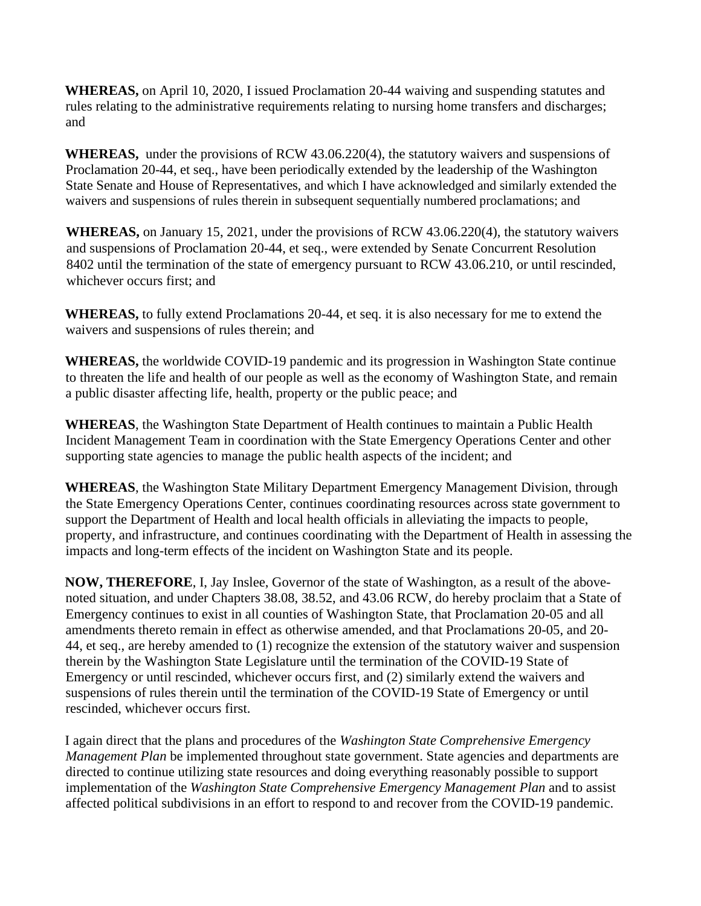**WHEREAS,** on April 10, 2020, I issued Proclamation 20-44 waiving and suspending statutes and rules relating to the administrative requirements relating to nursing home transfers and discharges; and

**WHEREAS,** under the provisions of RCW 43.06.220(4), the statutory waivers and suspensions of Proclamation 20-44, et seq., have been periodically extended by the leadership of the Washington State Senate and House of Representatives, and which I have acknowledged and similarly extended the waivers and suspensions of rules therein in subsequent sequentially numbered proclamations; and

**WHEREAS,** on January 15, 2021, under the provisions of RCW 43.06.220(4), the statutory waivers and suspensions of Proclamation 20-44, et seq., were extended by Senate Concurrent Resolution 8402 until the termination of the state of emergency pursuant to RCW 43.06.210, or until rescinded, whichever occurs first; and

**WHEREAS,** to fully extend Proclamations 20-44, et seq. it is also necessary for me to extend the waivers and suspensions of rules therein; and

**WHEREAS,** the worldwide COVID-19 pandemic and its progression in Washington State continue to threaten the life and health of our people as well as the economy of Washington State, and remain a public disaster affecting life, health, property or the public peace; and

**WHEREAS**, the Washington State Department of Health continues to maintain a Public Health Incident Management Team in coordination with the State Emergency Operations Center and other supporting state agencies to manage the public health aspects of the incident; and

**WHEREAS**, the Washington State Military Department Emergency Management Division, through the State Emergency Operations Center, continues coordinating resources across state government to support the Department of Health and local health officials in alleviating the impacts to people, property, and infrastructure, and continues coordinating with the Department of Health in assessing the impacts and long-term effects of the incident on Washington State and its people.

**NOW, THEREFORE**, I, Jay Inslee, Governor of the state of Washington, as a result of the abovenoted situation, and under Chapters 38.08, 38.52, and 43.06 RCW, do hereby proclaim that a State of Emergency continues to exist in all counties of Washington State, that Proclamation 20-05 and all amendments thereto remain in effect as otherwise amended, and that Proclamations 20-05, and 20- 44, et seq., are hereby amended to (1) recognize the extension of the statutory waiver and suspension therein by the Washington State Legislature until the termination of the COVID-19 State of Emergency or until rescinded, whichever occurs first, and (2) similarly extend the waivers and suspensions of rules therein until the termination of the COVID-19 State of Emergency or until rescinded, whichever occurs first.

I again direct that the plans and procedures of the *Washington State Comprehensive Emergency Management Plan* be implemented throughout state government. State agencies and departments are directed to continue utilizing state resources and doing everything reasonably possible to support implementation of the *Washington State Comprehensive Emergency Management Plan* and to assist affected political subdivisions in an effort to respond to and recover from the COVID-19 pandemic.